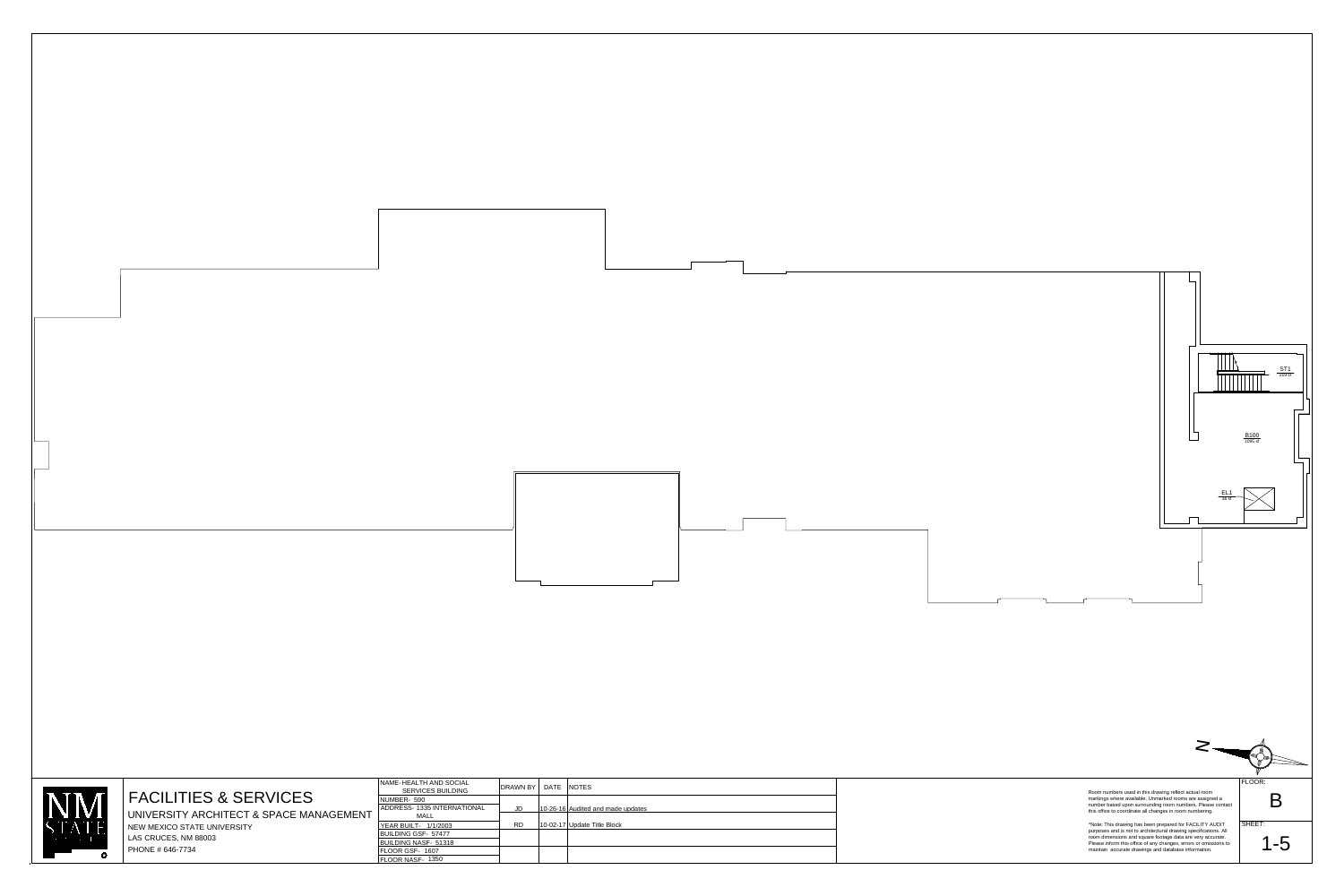



UNIVERSITY ARCHITECT & SPACE MANAGEMENT NEW MEXICO STATE UNIVERSITY LAS CRUCES, NM 88003  $\vert$  PHONE # 646-7734

## FACILITIES & SERVICES

| NAME-HEALTH AND SOCIAL<br><b>SERVICES BUILDING</b> | DRAWN BY  | DATE | <b>NOTES</b>                      |
|----------------------------------------------------|-----------|------|-----------------------------------|
| NUMBER- 590                                        |           |      |                                   |
| ADDRESS- 1335 INTERNATIONAL                        | JD        |      | 10-26-16 Audited and made updates |
| MALL                                               |           |      |                                   |
| YEAR BUILT- 1/1/2003                               | <b>RD</b> |      | 10-02-17 Update Title Block       |
| <b>BUILDING GSF- 57477</b>                         |           |      |                                   |
| <b>BUILDING NASF- 51318</b>                        |           |      |                                   |
| FLOOR GSF- 1607                                    |           |      |                                   |
| FLOOR NASE- 1350                                   |           |      |                                   |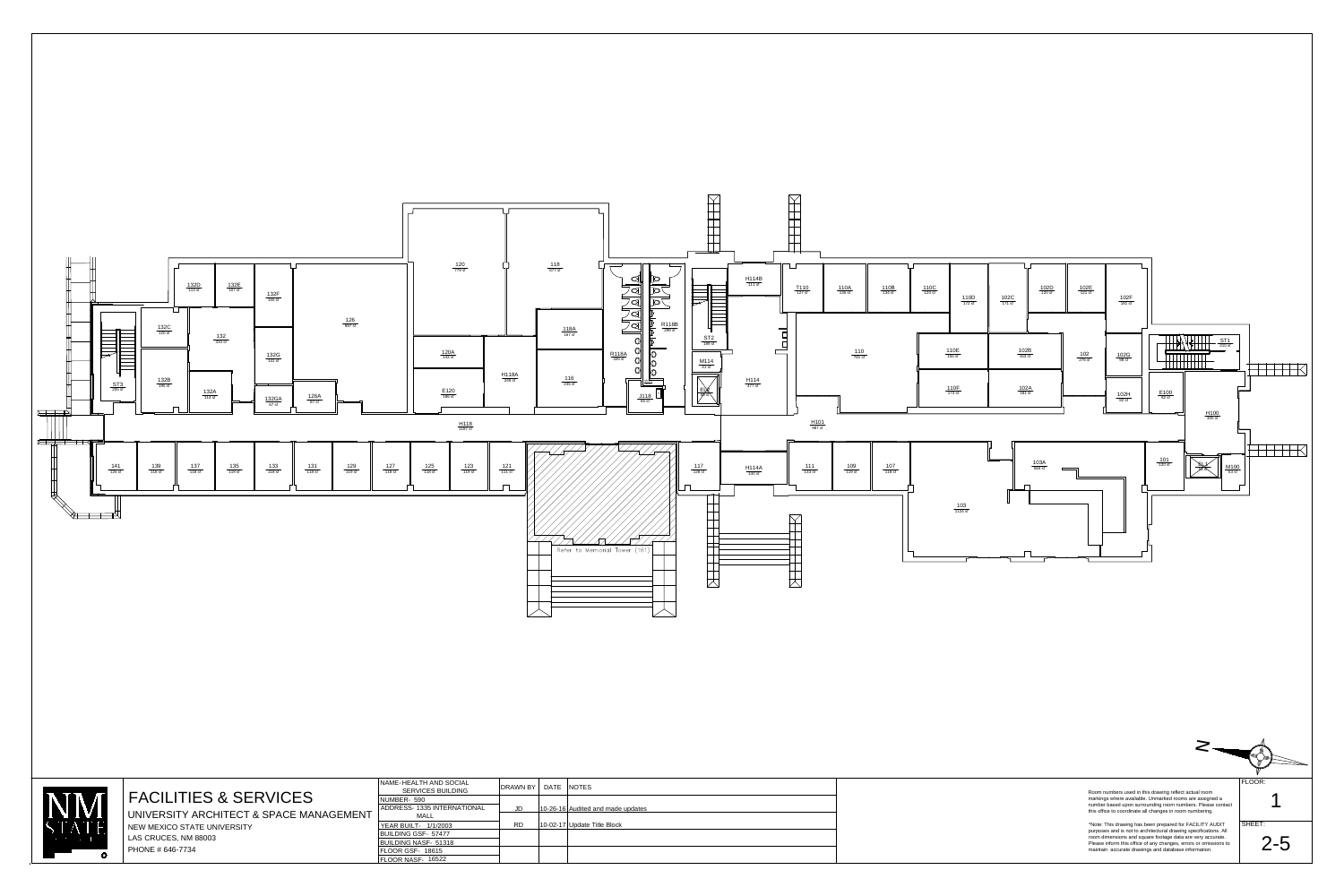

4 **A** 

maintain accurate drawings and database information.

PHONE # 646-7734

| NAME-HEALTH AND SOCIAL<br><b>SERVICES BUILDING</b> | DRAWN BY  | DATE | <b>NOTES</b>                      |
|----------------------------------------------------|-----------|------|-----------------------------------|
| NUMBER- 590                                        |           |      |                                   |
| <b>ADDRESS- 1335 INTERNATIONAL</b>                 | JD        |      | 10-26-16 Audited and made updates |
| <b>MALL</b>                                        |           |      |                                   |
| YEAR BUILT- 1/1/2003                               | <b>RD</b> |      | 10-02-17 Update Title Block       |
| <b>BUILDING GSF- 57477</b>                         |           |      |                                   |
| <b>BUILDING NASF- 51318</b>                        |           |      |                                   |
| <b>FLOOR GSF- 18615</b>                            |           |      |                                   |
| FLOOR NASF- 16522                                  |           |      |                                   |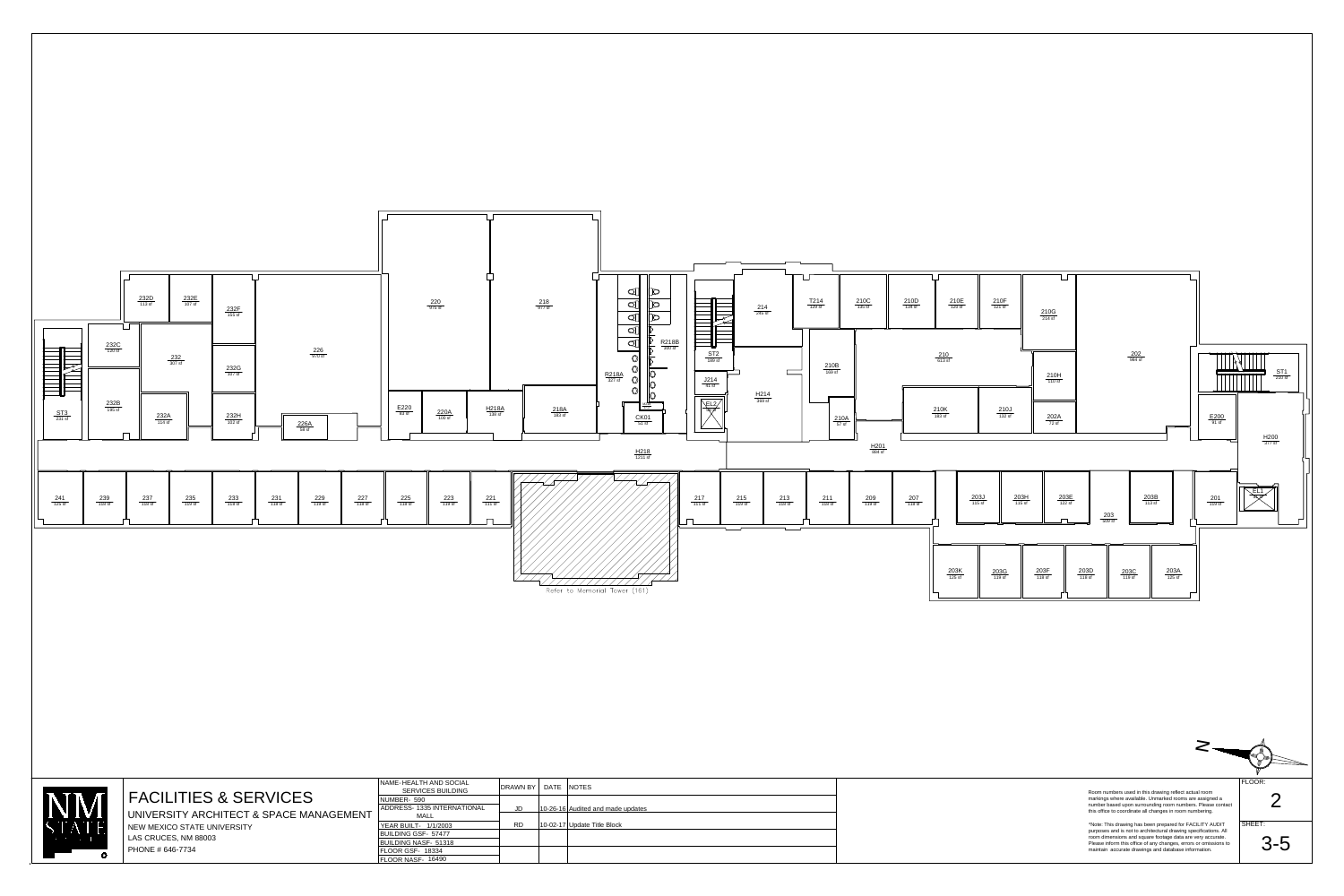| $\overline{\mathbb{F}_2}$               | $\frac{232C}{120 \text{ sf}}$ | $\frac{232D}{113 \text{ sf}}$ | $\frac{232E}{107 \text{ sf}}$<br>$\frac{232}{307 \text{ sf}}$ | $\frac{232F}{155 \text{ sf}}$<br>$\frac{232G}{107 \text{ sf}}$ |                              | $\frac{226}{970 \text{ sf}}$ |                              |                                    | $\frac{220}{975 \text{ sf}}$  |
|-----------------------------------------|-------------------------------|-------------------------------|---------------------------------------------------------------|----------------------------------------------------------------|------------------------------|------------------------------|------------------------------|------------------------------------|-------------------------------|
| $\frac{\mathsf{ST3}}{231\,\mathsf{sf}}$ | $\frac{232B}{195 \text{ sf}}$ | $\frac{232A}{114 \text{ sf}}$ |                                                               | $\frac{232H}{102 \text{ sf}}$                                  |                              | $\frac{226A}{58 \text{ sf}}$ |                              | $\frac{\text{E220}}{\text{83 sf}}$ | $\frac{220A}{100 \text{ sf}}$ |
| $\frac{241}{125 \text{ sf}}$            | $\frac{239}{118 \text{ sf}}$  | $\frac{237}{118 \text{ sf}}$  | $\frac{235}{119 \text{ sf}}$                                  | $\frac{233}{118 \text{ sf}}$                                   | $\frac{231}{118 \text{ sf}}$ | $\frac{229}{119 \text{ sf}}$ | $\frac{227}{118 \text{ sf}}$ | $\frac{225}{118 \text{ sf}}$       | $\frac{223}{119 \text{ sf}}$  |

SHEET: 3-5



\*Note: This drawing has been prepared for FACILITY AUDIT purposes and is not to architectural drawing specifications. All room dimensions and square footage data are very accurate. Please inform this office of any changes, errors or omissions to maintain accurate drawings and database information.



Room numbers used in this drawing reflect actual room markings where available. Unmarked rooms are assigned a number based upon surrounding room numbers. Please contact this office to coordinate all changes in room numbering.

FACILITIES & SERVICES

UNIVERSITY ARCHITECT & SPACE MANAGEMENT NEW MEXICO STATE UNIVERSITY LAS CRUCES, NM 88003 PHONE # 646-7734

FLOOR:

NAME-HEALTH AND SOCIAL BUILDING NASF-51318 BUILDING GSF-57477 YEAR BUILT-1/1/2003 ADDRESS- 1335 INTERNATIONAL NUMBER-590 FLOOR NASF-16490 FLOOR GSF-18334 SERVICES BUILDING MALL

|             | DRAWN BY   DATE | <b>NOTES</b>                      |
|-------------|-----------------|-----------------------------------|
| <b>ONAL</b> | JD              | 10-26-16 Audited and made updates |
|             | <b>RD</b>       | 10-02-17 Update Title Block       |
|             |                 |                                   |
|             |                 |                                   |

2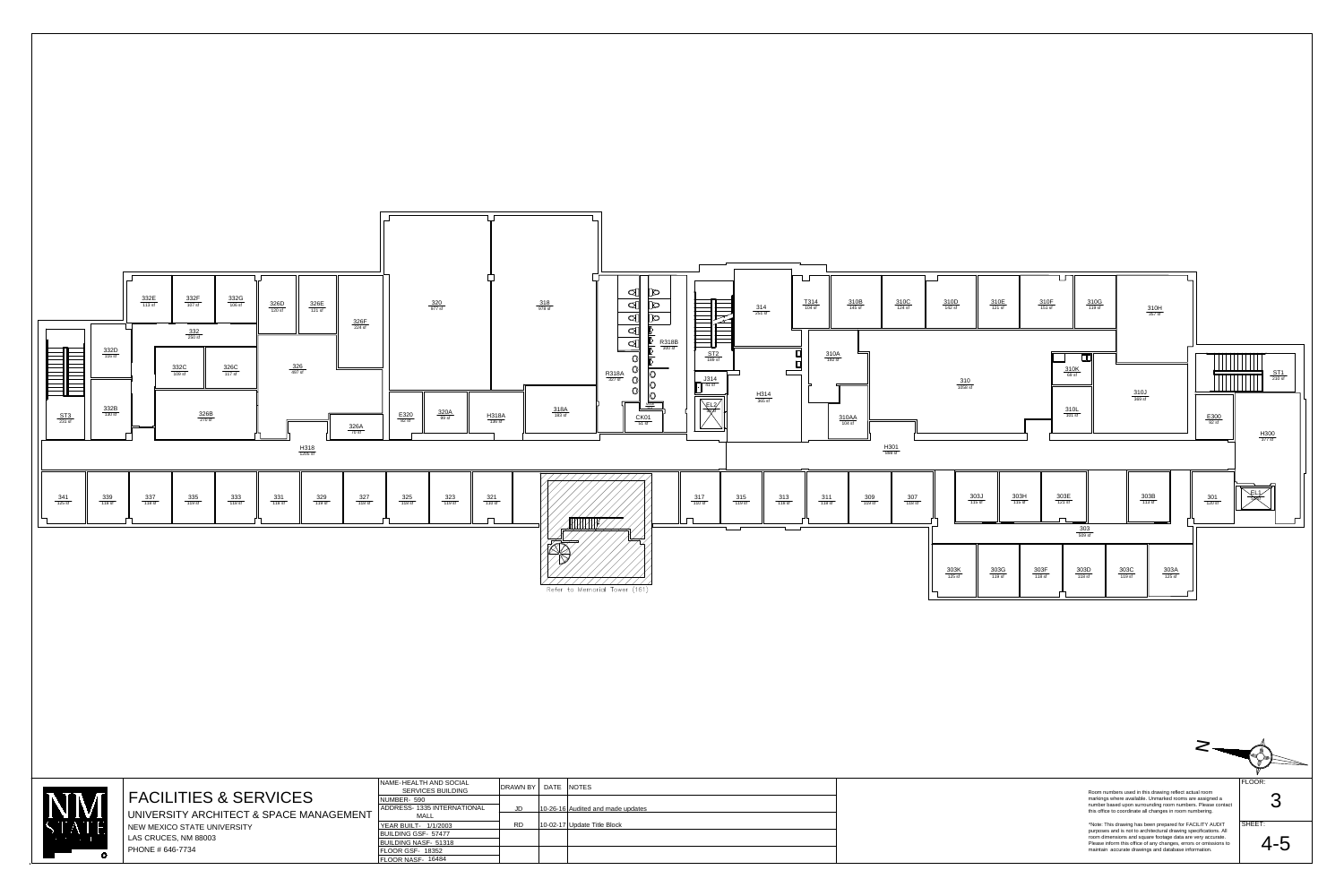

 $\mathbf{A}$  $\sum$ NIVERSIT'  $\bigcirc$ 

SHEET: 3

\*Note: This drawing has been prepared for FACILITY AUDIT purposes and is not to architectural drawing specifications. All room dimensions and square footage data are very accurate. Please inform this office of any changes, errors or omissions to maintain accurate drawings and database information.

Room numbers used in this drawing reflect actual room markings where available. Unmarked rooms are assigned a number based upon surrounding room numbers. Please contact this office to coordinate all changes in room numbering.

## FACILITIES & SERVICES

UNIVERSITY ARCHITECT & SPACE MANAGEMENT NEW MEXICO STATE UNIVERSITY LAS CRUCES, NM 88003 PHONE # 646-7734

FLOOR:

 $\overline{\bm{\mathsf{X}}}$ 

| NAME-HEALTH AND SOCIAL<br><b>SERVICES BUILDING</b> | DRAWN BY  | DATE | <b>NOTES</b>                      |
|----------------------------------------------------|-----------|------|-----------------------------------|
| NUMBER- 590                                        |           |      |                                   |
| <b>ADDRESS- 1335 INTERNATIONAL</b>                 | JD        |      | 10-26-16 Audited and made updates |
| <b>MALL</b>                                        |           |      |                                   |
| YEAR BUILT- 1/1/2003                               | <b>RD</b> |      | 10-02-17 Update Title Block       |
| <b>BUILDING GSF- 57477</b>                         |           |      |                                   |
| BUILDING NASF- 51318                               |           |      |                                   |
| <b>FLOOR GSF- 18352</b>                            |           |      |                                   |
| FLOOR NASF- 16484                                  |           |      |                                   |

4-5